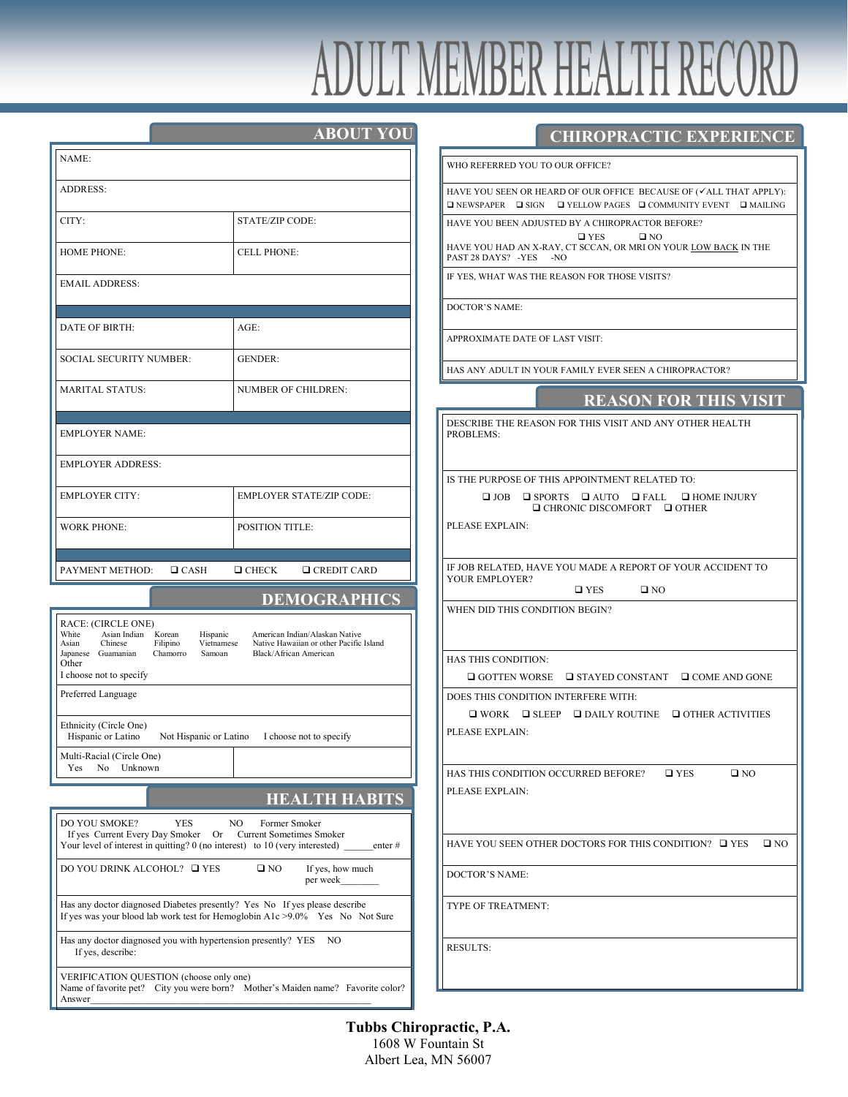# DULT MEMBER HEALTH REC

|                                                                                                                                                                                              | <b>ABOUT YOU</b>                                                                                    |  |  |
|----------------------------------------------------------------------------------------------------------------------------------------------------------------------------------------------|-----------------------------------------------------------------------------------------------------|--|--|
| NAME:                                                                                                                                                                                        |                                                                                                     |  |  |
| <b>ADDRESS:</b>                                                                                                                                                                              |                                                                                                     |  |  |
| CITY:                                                                                                                                                                                        | STATE/ZIP CODE:                                                                                     |  |  |
| <b>HOME PHONE:</b>                                                                                                                                                                           | <b>CELL PHONE:</b>                                                                                  |  |  |
| <b>EMAIL ADDRESS:</b>                                                                                                                                                                        |                                                                                                     |  |  |
|                                                                                                                                                                                              |                                                                                                     |  |  |
| <b>DATE OF BIRTH:</b>                                                                                                                                                                        | $AGE$ :                                                                                             |  |  |
| SOCIAL SECURITY NUMBER:                                                                                                                                                                      | <b>GENDER:</b>                                                                                      |  |  |
| <b>MARITAL STATUS:</b>                                                                                                                                                                       | <b>NUMBER OF CHILDREN:</b>                                                                          |  |  |
| <b>EMPLOYER NAME:</b>                                                                                                                                                                        |                                                                                                     |  |  |
|                                                                                                                                                                                              |                                                                                                     |  |  |
| <b>EMPLOYER ADDRESS:</b>                                                                                                                                                                     |                                                                                                     |  |  |
| <b>EMPLOYER CITY:</b>                                                                                                                                                                        | <b>EMPLOYER STATE/ZIP CODE:</b>                                                                     |  |  |
| <b>WORK PHONE:</b>                                                                                                                                                                           | <b>POSITION TITLE:</b>                                                                              |  |  |
|                                                                                                                                                                                              |                                                                                                     |  |  |
| PAYMENT METHOD: □ CASH                                                                                                                                                                       | $\Box$ CHECK<br>$\Box$ CREDIT CARD                                                                  |  |  |
|                                                                                                                                                                                              | <b>DEMOGRAPHICS</b>                                                                                 |  |  |
| RACE: (CIRCLE ONE)<br>White<br>Asian Indian Korean<br>Hispanic<br>Asian<br>Chinese<br>Filipino<br>Vietnamese<br>Japanese Guamanian<br>Chamorro<br>Samoan<br>Other<br>I choose not to specify | American Indian/Alaskan Native<br>Native Hawaiian or other Pacific Island<br>Black/African American |  |  |
| Preferred Language                                                                                                                                                                           |                                                                                                     |  |  |
| Ethnicity (Circle One)<br>Hispanic or Latino                                                                                                                                                 | Not Hispanic or Latino I choose not to specify                                                      |  |  |
| Multi-Racial (Circle One)<br>Unknown<br>Yes<br>No                                                                                                                                            |                                                                                                     |  |  |
|                                                                                                                                                                                              | <b>HEALTH HABITS</b>                                                                                |  |  |
| <b>DO YOU SMOKE?</b><br>YES<br>If yes Current Every Day Smoker<br>Or<br>Your level of interest in quitting? $0$ (no interest) to $10$ (very interested) enter #                              | NO<br>Former Smoker<br><b>Current Sometimes Smoker</b>                                              |  |  |
| DO YOU DRINK ALCOHOL? □ YES<br>$\square$ NO<br>If yes, how much<br>per week                                                                                                                  |                                                                                                     |  |  |
| Has any doctor diagnosed Diabetes presently? Yes No If yes please describe<br>If yes was your blood lab work test for Hemoglobin $A1c > 9.0\%$ Yes No Not Sure                               |                                                                                                     |  |  |
| Has any doctor diagnosed you with hypertension presently? YES<br>NO<br>If yes, describe:                                                                                                     |                                                                                                     |  |  |
| VERIFICATION QUESTION (choose only one)<br>Name of favorite pet? City you were born? Mother's Maiden name? Favorite color?<br>Answer                                                         |                                                                                                     |  |  |

#### **CHIROPRACTIC EXPERIENCE**

IO REFERRED YOU TO OUR OFFICE?

VE YOU SEEN OR HEARD OF OUR OFFICE BECAUSE OF  $(\checkmark$ ALL THAT APPLY): NEWSPAPER  $\Box$  SIGN  $\Box$  YELLOW PAGES  $\Box$  COMMUNITY EVENT  $\Box$  MAILING

VE YOU BEEN ADJUSTED BY A CHIROPRACTOR BEFORE?  $\Box$  YES  $\Box$  NO

VE YOU HAD AN X-RAY, CT SCCAN, OR MRI ON YOUR LOW BACK IN THE ST 28 DAYS? -YES -NO

YES, WHAT WAS THE REASON FOR THOSE VISITS?

CTOR'S NAME:

PROXIMATE DATE OF LAST VISIT:

S ANY ADULT IN YOUR FAMILY EVER SEEN A CHIROPRACTOR?

SCRIBE THE REASON FOR THIS VISIT AND ANY OTHER HEALTH OBLEMS:

THE PURPOSE OF THIS APPOINTMENT RELATED TO:

 $\begin{tabular}{lllllllllll} \hline $\square$ JOB & $\square$ SPORTS & $\square$ AUTO & $\square$ FALL & $\square$ HOME INJURY \end{tabular}$  $\Box$  CHRONIC DISCOMFORT  $\Box$  OTHER

EASE EXPLAIN:

IOB RELATED, HAVE YOU MADE A REPORT OF YOUR ACCIDENT TO UR EMPLOYER?

 $\Box$  YES  $\Box$  NO

IEN DID THIS CONDITION BEGIN?

**S THIS CONDITION:** 

 $\Box$  GOTTEN WORSE  $\Box$  STAYED CONSTANT  $\Box$  COME AND GONE

**DES THIS CONDITION INTERFERE WITH:** 

 $\Box$  WORK  $\Box$  SLEEP  $\Box$  DAILY ROUTINE  $\Box$  OTHER ACTIVITIES EASE EXPLAIN:

S THIS CONDITION OCCURRED BEFORE?  $\Box$  YES  $\Box$  NO EASE EXPLAIN:

VE YOU SEEN OTHER DOCTORS FOR THIS CONDITION?  $\Box$  YES  $\Box$  NO

CTOR'S NAME:

PE OF TREATMENT:

SULTS:

**Tubbs Chiropractic, P.A.** 1608 W Fountain St Albert Lea, MN 56007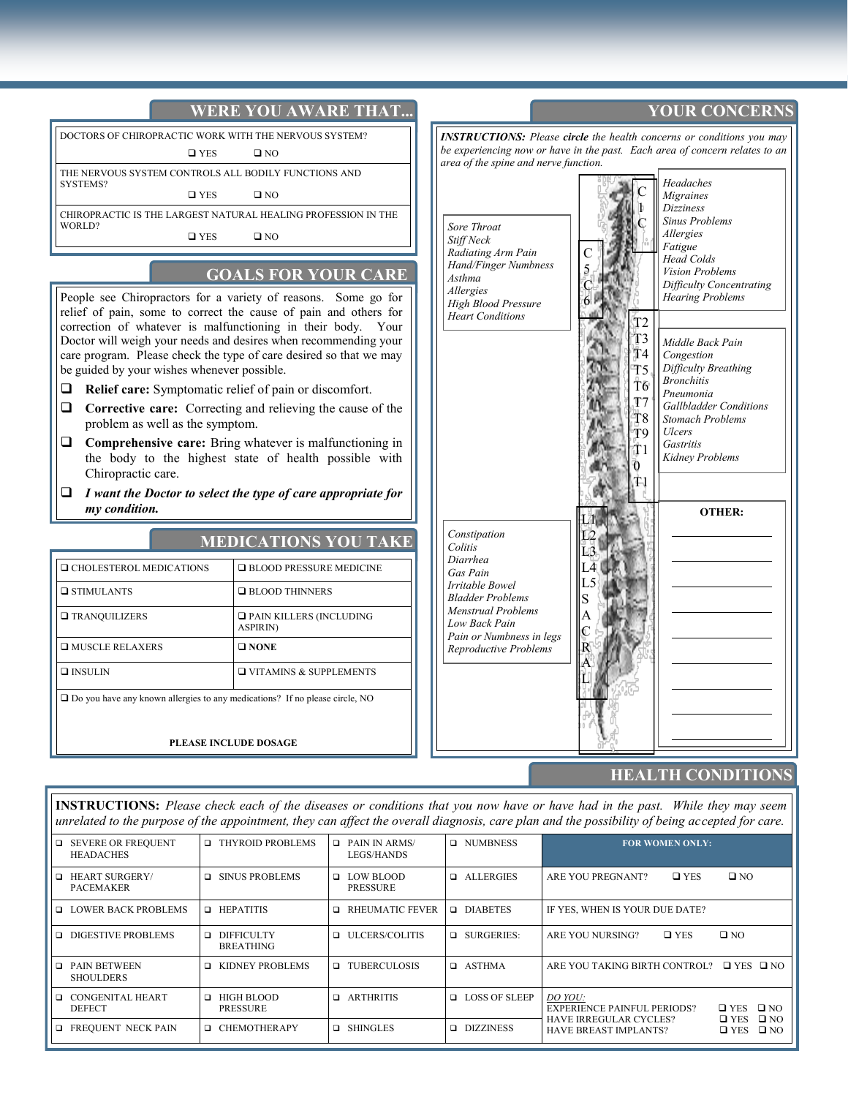

#### **HEALTH CONDITIONS**

**INSTRUCTIONS:** *Please check each of the diseases or conditions that you now have or have had in the past. While they may seem unrelated to the purpose of the appointment, they can affect the overall diagnosis, care plan and the possibility of being accepted for care.*

| <b>EXECUTE SEVERE OR FREQUENT</b><br><b>HEADACHES</b> | <b>I THYROID PROBLEMS</b>               | $\Box$ PAIN IN ARMS/<br>LEGS/HANDS | <b>Q</b> NUMBNESS    | <b>FOR WOMEN ONLY:</b>                                                                                                       |
|-------------------------------------------------------|-----------------------------------------|------------------------------------|----------------------|------------------------------------------------------------------------------------------------------------------------------|
| $\Box$ HEART SURGERY/<br>PACEMAKER                    | □ SINUS PROBLEMS                        | <b>D</b> LOW BLOOD<br>PRESSURE     | <b>Q</b> ALLERGIES   | $\square$ NO<br>$\square$ YES<br>ARE YOU PREGNANT?                                                                           |
| <b>LOWER BACK PROBLEMS</b>                            | $\Box$ HEPATITIS                        | RHEUMATIC FEVER                    | <b>DIABETES</b>      | IF YES, WHEN IS YOUR DUE DATE?                                                                                               |
| □ DIGESTIVE PROBLEMS                                  | <b>Q DIFFICULTY</b><br><b>BREATHING</b> | <b>Q</b> ULCERS/COLITIS            | $\Box$ SURGERIES:    | $\square$ NO<br>$\square$ YES<br>ARE YOU NURSING?                                                                            |
| <b>Q</b> PAIN BETWEEN<br><b>SHOULDERS</b>             | <b>EXIDNEY PROBLEMS</b>                 | TUBERCULOSIS                       | <b>D</b> ASTHMA      | ARE YOU TAKING BIRTH CONTROL? $\Box$ YES $\Box$ NO                                                                           |
| <b>Q CONGENITAL HEART</b><br><b>DEFECT</b>            | $\Box$ HIGH BLOOD<br><b>PRESSURE</b>    | <b>Q</b> ARTHRITIS                 | <b>LOSS OF SLEEP</b> | DO YOU:<br>$DYES$ $DNO$<br><b>EXPERIENCE PAINFUL PERIODS?</b><br>$\square$ NO<br>$\Box$ YES<br><b>HAVE IRREGULAR CYCLES?</b> |
| <b>EXECUENT NECK PAIN</b>                             | □ CHEMOTHERAPY                          | <b>Q</b> SHINGLES                  | DIZZINESS            | $\square$ NO<br><b>HAVE BREAST IMPLANTS?</b><br>$\square$ YES                                                                |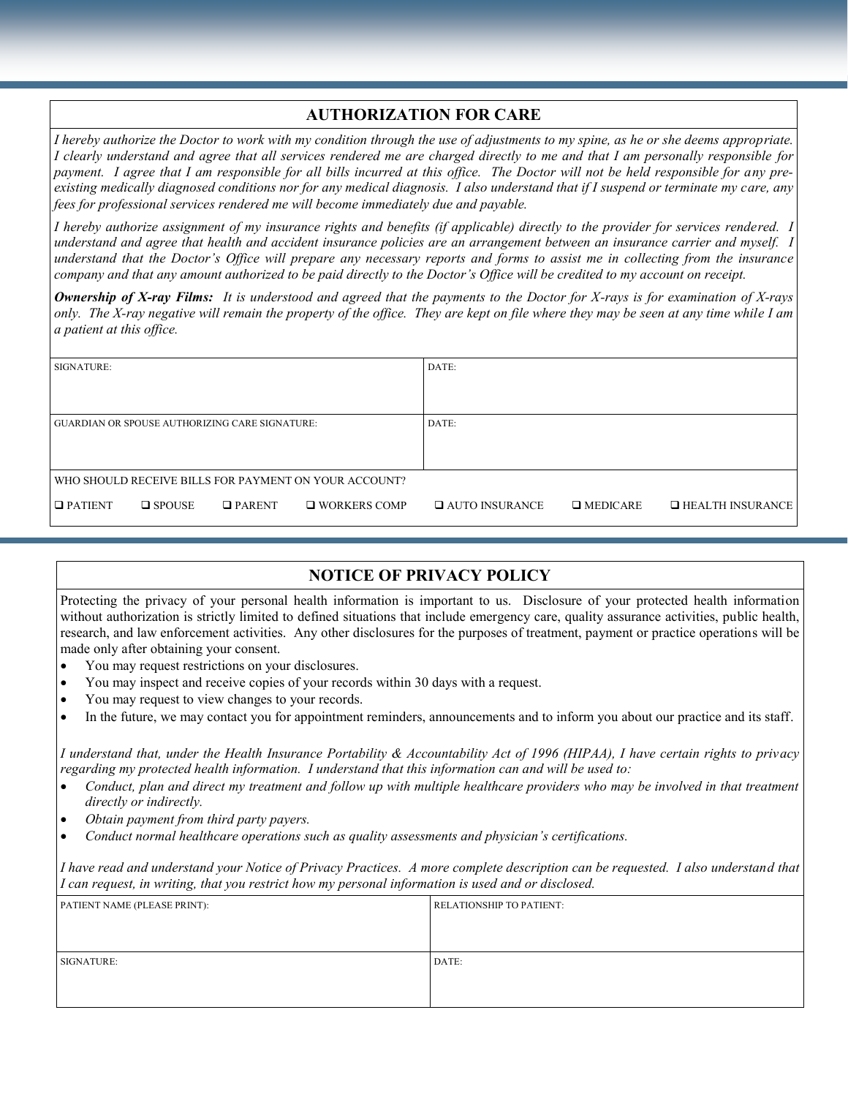# **AUTHORIZATION FOR CARE**

*I hereby authorize the Doctor to work with my condition through the use of adjustments to my spine, as he or she deems appropriate. I clearly understand and agree that all services rendered me are charged directly to me and that I am personally responsible for payment. I agree that I am responsible for all bills incurred at this office. The Doctor will not be held responsible for any preexisting medically diagnosed conditions nor for any medical diagnosis. I also understand that if I suspend or terminate my care, any fees for professional services rendered me will become immediately due and payable.* 

*I hereby authorize assignment of my insurance rights and benefits (if applicable) directly to the provider for services rendered. I understand and agree that health and accident insurance policies are an arrangement between an insurance carrier and myself. I understand that the Doctor's Office will prepare any necessary reports and forms to assist me in collecting from the insurance company and that any amount authorized to be paid directly to the Doctor's Office will be credited to my account on receipt.* 

*Ownership of X-ray Films: It is understood and agreed that the payments to the Doctor for X-rays is for examination of X-rays only. The X-ray negative will remain the property of the office. They are kept on file where they may be seen at any time while I am a patient at this office.*

| SIGNATURE:                                            |                  |               |                     | DATE:                   |                 |                         |
|-------------------------------------------------------|------------------|---------------|---------------------|-------------------------|-----------------|-------------------------|
|                                                       |                  |               |                     |                         |                 |                         |
| <b>GUARDIAN OR SPOUSE AUTHORIZING CARE SIGNATURE:</b> |                  |               | DATE:               |                         |                 |                         |
|                                                       |                  |               |                     |                         |                 |                         |
| WHO SHOULD RECEIVE BILLS FOR PAYMENT ON YOUR ACCOUNT? |                  |               |                     |                         |                 |                         |
| $\Box$ PATIENT                                        | $\square$ SPOUSE | $\Box$ PARENT | $\Box$ WORKERS COMP | <b>Q AUTO INSURANCE</b> | $\Box$ MEDICARE | $\Box$ HEALTH INSURANCE |

# **NOTICE OF PRIVACY POLICY**

Protecting the privacy of your personal health information is important to us. Disclosure of your protected health information without authorization is strictly limited to defined situations that include emergency care, quality assurance activities, public health, research, and law enforcement activities. Any other disclosures for the purposes of treatment, payment or practice operations will be made only after obtaining your consent.

- You may request restrictions on your disclosures.
- You may inspect and receive copies of your records within 30 days with a request.
- You may request to view changes to your records.
- In the future, we may contact you for appointment reminders, announcements and to inform you about our practice and its staff.

*I understand that, under the Health Insurance Portability & Accountability Act of 1996 (HIPAA), I have certain rights to privacy regarding my protected health information. I understand that this information can and will be used to:*

- *Conduct, plan and direct my treatment and follow up with multiple healthcare providers who may be involved in that treatment directly or indirectly.*
- *Obtain payment from third party payers.*
- *Conduct normal healthcare operations such as quality assessments and physician's certifications.*

*I have read and understand your Notice of Privacy Practices. A more complete description can be requested. I also understand that I can request, in writing, that you restrict how my personal information is used and or disclosed.* 

| PATIENT NAME (PLEASE PRINT): | <b>RELATIONSHIP TO PATIENT:</b> |
|------------------------------|---------------------------------|
|                              |                                 |
|                              |                                 |
| SIGNATURE:                   | DATE:                           |
|                              |                                 |
|                              |                                 |